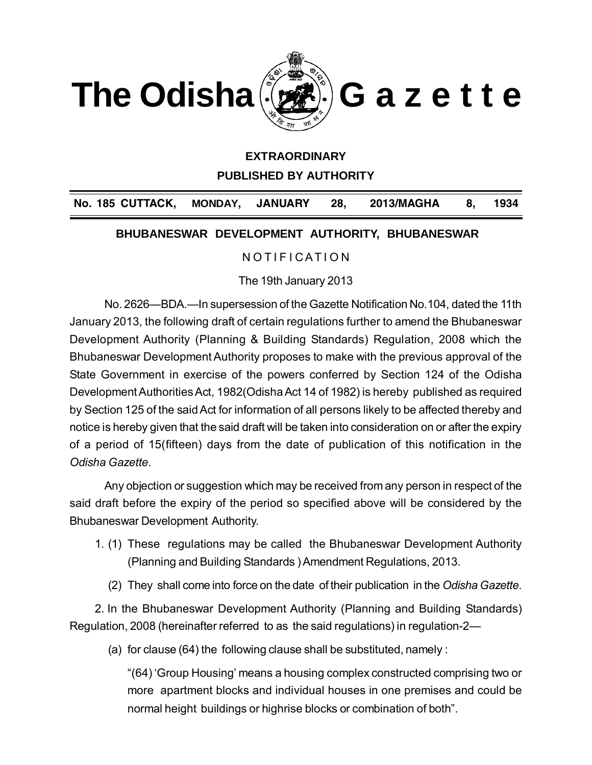

## **EXTRAORDINARY**

**PUBLISHED BY AUTHORITY**

**No. 185 CUTTACK, MONDAY, JANUARY 28, 2013/MAGHA 8, 1934** 

#### **BHUBANESWAR DEVELOPMENT AUTHORITY, BHUBANESWAR**

# N O T I F I CATION

The 19th January 2013

No. 2626—BDA.—In supersession of the Gazette Notification No.104, dated the 11th January 2013, the following draft of certain regulations further to amend the Bhubaneswar Development Authority (Planning & Building Standards) Regulation, 2008 which the Bhubaneswar Development Authority proposes to make with the previous approval of the State Government in exercise of the powers conferred by Section 124 of the Odisha Development Authorities Act, 1982(Odisha Act 14 of 1982) is hereby published as required by Section 125 of the said Act for information of all persons likely to be affected thereby and notice is hereby given that the said draft will be taken into consideration on or after the expiry of a period of 15(fifteen) days from the date of publication of this notification in the *Odisha Gazette*.

Any objection or suggestion which may be received from any person in respect of the said draft before the expiry of the period so specified above will be considered by the Bhubaneswar Development Authority.

- 1. (1) These regulations may be called the Bhubaneswar Development Authority (Planning and Building Standards ) Amendment Regulations, 2013.
	- (2) They shall come into force on the date of their publication in the *Odisha Gazette*.

2. In the Bhubaneswar Development Authority (Planning and Building Standards) Regulation, 2008 (hereinafter referred to as the said regulations) in regulation-2—

(a) for clause (64) the following clause shall be substituted, namely :

"(64) 'Group Housing' means a housing complex constructed comprising two or more apartment blocks and individual houses in one premises and could be normal height buildings or highrise blocks or combination of both".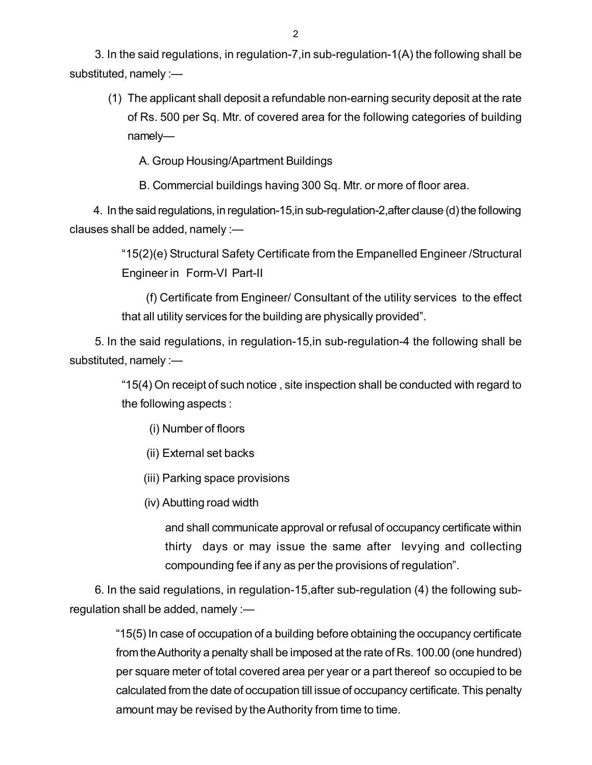3. In the said regulations, in regulation-7,in sub-regulation-1(A) the following shall b[e](http://www.docu-track.com/buy/) [s](http://www.docu-track.com/buy/)ubstituted, namely :—

(1) The applicant shall deposit a refundable non-earning security deposit at the rate of Rs. 500 per Sq. Mtr. of covered area for the following categories of building namely—

A. Group Housing/Apartment Buildings

B. Commercial buildings having 300 Sq. Mtr. or more of floor area.

4. In the said regulations, in regulation-15,in sub-regulation-2,after clause (d) the following clauses shall be added, namely :—

> "15(2)(e) Structural Safety Certificate from the Empanelled Engineer /Structural Engineer in Form-VI Part-II

> (f) Certificate from Engineer/ Consultant of the utility services to the effect that all utility services for the building are physically provided".

5. In the said regulations, in regulation-15,in sub-regulation-4 the following shall be substituted, namely :—

> "15(4) On receipt of such notice , site inspection shall be conducted with regard to the following aspects :

- (i) Number of floors
- (ii) External set backs
- (iii) Parking space provisions
- (iv) Abutting road width

and shall communicate approval or refusal of occupancy certificate within thirty days or may issue the same after levying and collecting compounding fee if any as per the provisions of regulation".

6. In the said regulations, in regulation-15,after sub-regulation (4) the following subregulation shall be added, namely :—

> "15(5) In case of occupation of a building before obtaining the occupancy certificate from the Authority a penalty shall be imposed at the rate of Rs. 100.00 (one hundred) per square meter of total covered area per year or a part thereof so occupied to be calculated from the date of occupation till issue of occupancy certificate. This penalty amount may be revised by the Authority from time to time.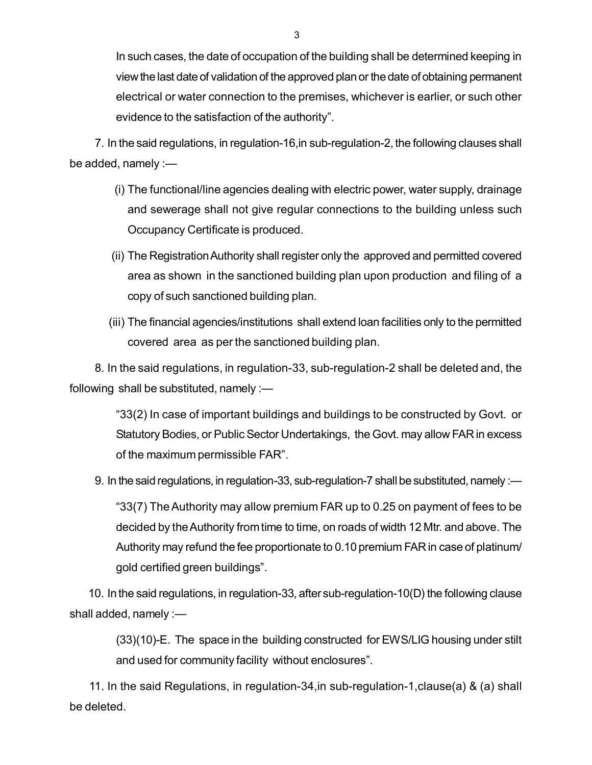In such cases, the date of occupation of the building shall be determined keeping i[n](http://www.docu-track.com/buy/) view the last date of validation of the approved plan or the date of obtaining permanent electrical or water connection to the premises, whichever is earlier, or such other evidence to the satisfaction of the authority".

7. In the said regulations, in regulation-16,in sub-regulation-2, the following clauses shall be added, namely :—

- (i) The functional/line agencies dealing with electric power, water supply, drainage and sewerage shall not give regular connections to the building unless such Occupancy Certificate is produced.
- (ii) The Registration Authority shall register only the approved and permitted covered area as shown in the sanctioned building plan upon production and filing of a copy of such sanctioned building plan.
- (iii) The financial agencies/institutions shall extend loan facilities only to the permitted covered area as per the sanctioned building plan.

8. In the said regulations, in regulation-33, sub-regulation-2 shall be deleted and, the following shall be substituted, namely :—

"33(2) In case of important buildings and buildings to be constructed by Govt. or Statutory Bodies, or Public Sector Undertakings, the Govt. may allow FAR in excess of the maximum permissible FAR".

9. In the said regulations, in regulation-33, sub-regulation-7 shall be substituted, namely :—

"33(7) The Authority may allow premium FAR up to 0.25 on payment of fees to be decided by the Authority from time to time, on roads of width 12 Mtr. and above. The Authority may refund the fee proportionate to 0.10 premium FAR in case of platinum/ gold certified green buildings".

10. In the said regulations, in regulation-33, after sub-regulation-10(D) the following clause shall added, namely :—

> (33)(10)-E. The space in the building constructed for EWS/LIG housing under stilt and used for community facility without enclosures".

11. In the said Regulations, in regulation-34,in sub-regulation-1,clause(a) & (a) shall be deleted.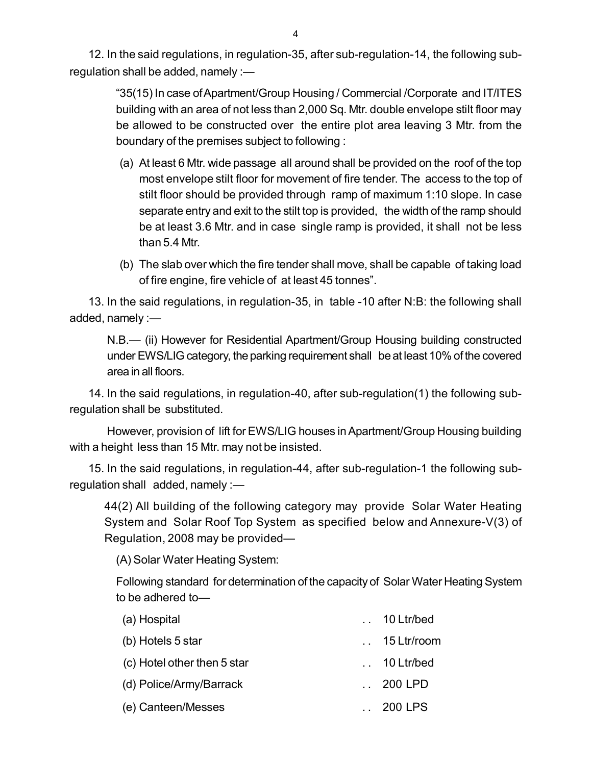12. In the said regulations, in regulation-35, after sub-regulation-14, the following sub[r](http://www.docu-track.com/buy/)egulation shall be added, namely :—

> "35(15) In case of Apartment/Group Housing / Commercial /Corporate and IT/ITES building with an area of not less than 2,000 Sq. Mtr. double envelope stilt floor may be allowed to be constructed over the entire plot area leaving 3 Mtr. from the boundary of the premises subject to following :

- (a) At least 6 Mtr. wide passage all around shall be provided on the roof of the top most envelope stilt floor for movement of fire tender. The access to the top of stilt floor should be provided through ramp of maximum 1:10 slope. In case separate entry and exit to the stilt top is provided, the width of the ramp should be at least 3.6 Mtr. and in case single ramp is provided, it shall not be less than 5.4 Mtr.
- (b) The slab over which the fire tender shall move, shall be capable of taking load of fire engine, fire vehicle of at least 45 tonnes".

13. In the said regulations, in regulation-35, in table -10 after N:B: the following shall added, namely :—

N.B.— (ii) However for Residential Apartment/Group Housing building constructed under EWS/LIG category, the parking requirement shall be at least 10% of the covered area in all floors.

14. In the said regulations, in regulation-40, after sub-regulation(1) the following subregulation shall be substituted.

However, provision of lift for EWS/LIG houses in Apartment/Group Housing building with a height less than 15 Mtr. may not be insisted.

15. In the said regulations, in regulation-44, after sub-regulation-1 the following subregulation shall added, namely :—

44(2) All building of the following category may provide Solar Water Heating System and Solar Roof Top System as specified below and Annexure-V(3) of Regulation, 2008 may be provided—

(A) Solar Water Heating System:

Following standard for determination of the capacity of Solar Water Heating System to be adhered to—

| (a) Hospital                | $\ldots$ 10 Ltr/bed  |
|-----------------------------|----------------------|
| (b) Hotels 5 star           | $\ldots$ 15 Ltr/room |
| (c) Hotel other then 5 star | $\ldots$ 10 Ltr/bed  |
| (d) Police/Army/Barrack     | $\ldots$ 200 LPD     |
| (e) Canteen/Messes          | $\ldots$ 200 LPS     |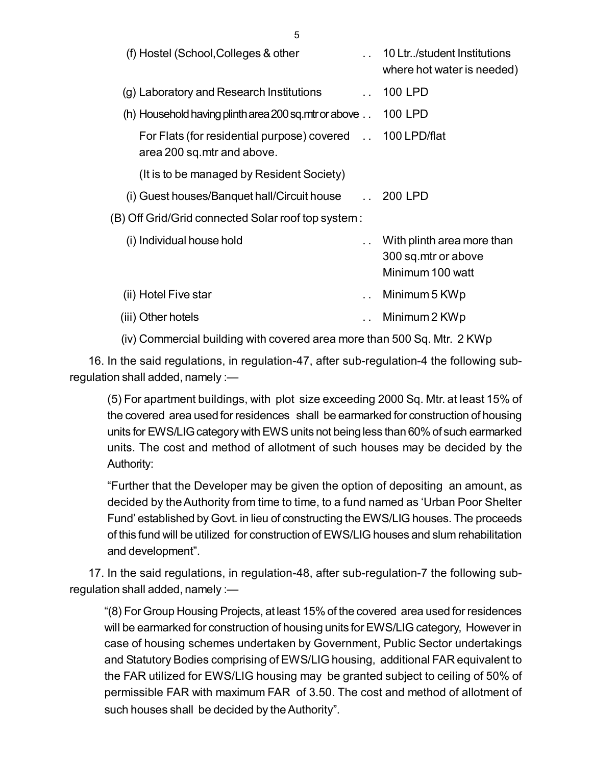| (f) Hostel (School, Colleges & other                                                   | 10 Ltr. / student Institutions<br>where hot water is needed)          |
|----------------------------------------------------------------------------------------|-----------------------------------------------------------------------|
| (g) Laboratory and Research Institutions<br>$\mathbf{L}$                               | 100 LPD                                                               |
| (h) Household having plinth area 200 sq.mtr or above                                   | 100 LPD                                                               |
| For Flats (for residential purpose) covered 100 LPD/flat<br>area 200 sq.mtr and above. |                                                                       |
| (It is to be managed by Resident Society)                                              |                                                                       |
| (i) Guest houses/Banquet hall/Circuit house 1. 200 LPD                                 |                                                                       |
| (B) Off Grid/Grid connected Solar roof top system:                                     |                                                                       |
| (i) Individual house hold                                                              | With plinth area more than<br>300 sq.mtr or above<br>Minimum 100 watt |
| (ii) Hotel Five star                                                                   | Minimum 5 KWp                                                         |
| (iii) Other hotels                                                                     | Minimum 2 KWp                                                         |
|                                                                                        |                                                                       |

(iv) Commercial building with covered area more than 500 Sq. Mtr. 2 KWp

16. In the said regulations, in regulation-47, after sub-regulation-4 the following subregulation shall added, namely :—

(5) For apartment buildings, with plot size exceeding 2000 Sq. Mtr. at least 15% of the covered area used for residences shall be earmarked for construction of housing units for EWS/LIG category with EWS units not being less than 60% of such earmarked units. The cost and method of allotment of such houses may be decided by the Authority:

"Further that the Developer may be given the option of depositing an amount, as decided by the Authority from time to time, to a fund named as 'Urban Poor Shelter Fund' established by Govt. in lieu of constructing the EWS/LIG houses. The proceeds of this fund will be utilized for construction of EWS/LIG houses and slum rehabilitation and development".

17. In the said regulations, in regulation-48, after sub-regulation-7 the following subregulation shall added, namely :—

"(8) For Group Housing Projects, at least 15% of the covered area used for residences will be earmarked for construction of housing units for EWS/LIG category, However in case of housing schemes undertaken by Government, Public Sector undertakings and Statutory Bodies comprising of EWS/LIG housing, additional FAR equivalent to the FAR utilized for EWS/LIG housing may be granted subject to ceiling of 50% of permissible FAR with maximum FAR of 3.50. The cost and method of allotment of such houses shall be decided by the Authority".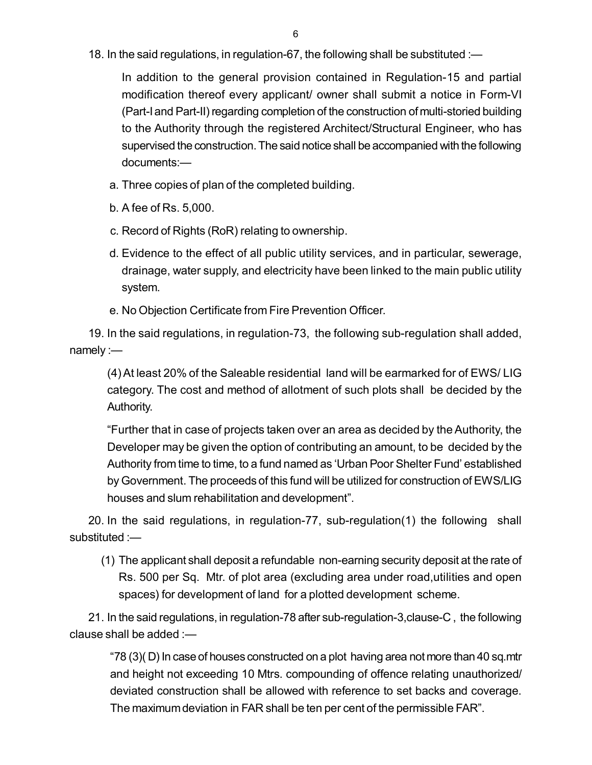18. In the said regulations, in regulation-67, the following shall be substituted :—

In addition to the general provision contained in Regulation-15 and partial modification thereof every applicant/ owner shall submit a notice in Form-VI (Part-I and Part-II) regarding completion of the construction of multi-storied building to the Authority through the registered Architect/Structural Engineer, who has supervised the construction. The said notice shall be accompanied with the following documents:—

- a. Three copies of plan of the completed building.
- b. A fee of Rs. 5,000.
- c. Record of Rights (RoR) relating to ownership.
- d. Evidence to the effect of all public utility services, and in particular, sewerage, drainage, water supply, and electricity have been linked to the main public utility system.
- e. No Objection Certificate from Fire Prevention Officer.

19. In the said regulations, in regulation-73, the following sub-regulation shall added, namely :—

(4) At least 20% of the Saleable residential land will be earmarked for of EWS/ LIG category. The cost and method of allotment of such plots shall be decided by the Authority.

"Further that in case of projects taken over an area as decided by the Authority, the Developer may be given the option of contributing an amount, to be decided by the Authority from time to time, to a fund named as 'Urban Poor Shelter Fund' established by Government. The proceeds of this fund will be utilized for construction of EWS/LIG houses and slum rehabilitation and development".

20. In the said regulations, in regulation-77, sub-regulation(1) the following shall substituted :—

(1) The applicant shall deposit a refundable non-earning security deposit at the rate of Rs. 500 per Sq. Mtr. of plot area (excluding area under road,utilities and open spaces) for development of land for a plotted development scheme.

21. In the said regulations, in regulation-78 after sub-regulation-3,clause-C , the following clause shall be added :—

"78 (3)( D) In case of houses constructed on a plot having area not more than 40 sq.mtr and height not exceeding 10 Mtrs. compounding of offence relating unauthorized/ deviated construction shall be allowed with reference to set backs and coverage. The maximum deviation in FAR shall be ten per cent of the permissible FAR".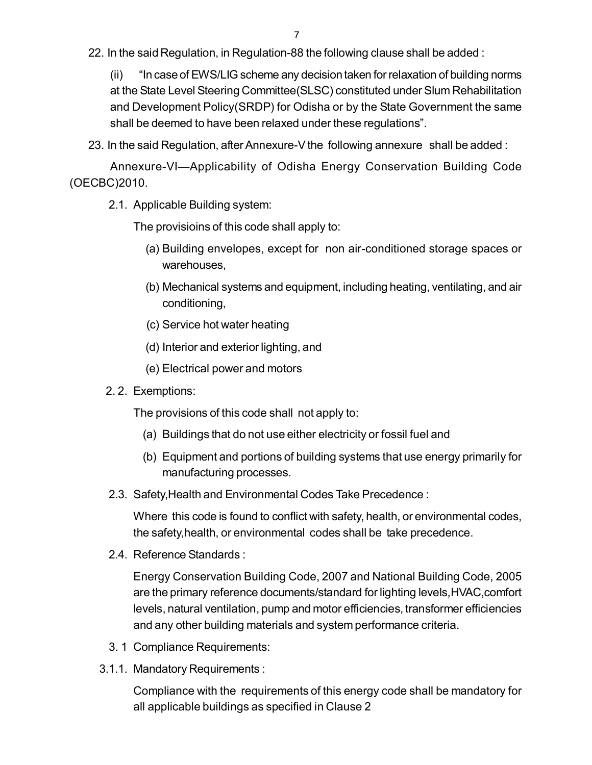22. In the said Regulation, in Regulation-88 the following clause shall be added :

(ii) "In case of EWS/LIG scheme any decision taken for relaxation of building norm[s](http://www.docu-track.com/buy/) at the State Level Steering Committee(SLSC) constituted under Slum Rehabilitation and Development Policy(SRDP) for Odisha or by the State Government the same shall be deemed to have been relaxed under these regulations".

23. In the said Regulation, after Annexure-V the following annexure shall be added :

Annexure-VI—Applicability of Odisha Energy Conservation Building Code (OECBC)2010.

2.1. Applicable Building system:

The provisioins of this code shall apply to:

- (a) Building envelopes, except for non air-conditioned storage spaces or warehouses,
- (b) Mechanical systems and equipment, including heating, ventilating, and air conditioning,
- (c) Service hot water heating
- (d) Interior and exterior lighting, and
- (e) Electrical power and motors
- 2. 2. Exemptions:

The provisions of this code shall not apply to:

- (a) Buildings that do not use either electricity or fossil fuel and
- (b) Equipment and portions of building systems that use energy primarily for manufacturing processes.
- 2.3. Safety,Health and Environmental Codes Take Precedence :

Where this code is found to conflict with safety, health, or environmental codes, the safety,health, or environmental codes shall be take precedence.

2.4. Reference Standards :

Energy Conservation Building Code, 2007 and National Building Code, 2005 are the primary reference documents/standard for lighting levels,HVAC,comfort levels, natural ventilation, pump and motor efficiencies, transformer efficiencies and any other building materials and system performance criteria.

- 3. 1 Compliance Requirements:
- 3.1.1. Mandatory Requirements :

Compliance with the requirements of this energy code shall be mandatory for all applicable buildings as specified in Clause 2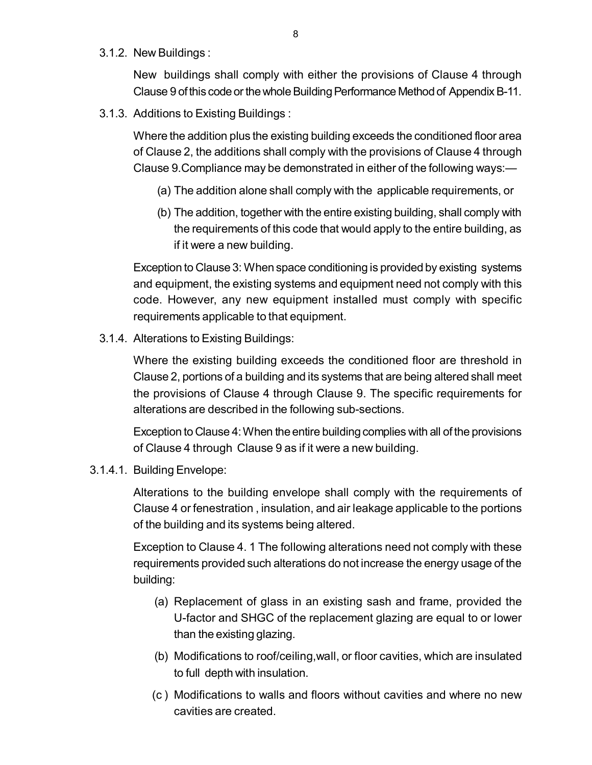3.1.2. New Buildings :

New buildings shall comply with either the provisions of Clause 4 throug[h](http://www.docu-track.com/buy/) Clause 9 of this code or the whole Building Performance Method of Appendix B-11.

3.1.3. Additions to Existing Buildings :

Where the addition plus the existing building exceeds the conditioned floor area of Clause 2, the additions shall comply with the provisions of Clause 4 through Clause 9.Compliance may be demonstrated in either of the following ways:—

- (a) The addition alone shall comply with the applicable requirements, or
- (b) The addition, together with the entire existing building, shall comply with the requirements of this code that would apply to the entire building, as if it were a new building.

Exception to Clause 3: When space conditioning is provided by existing systems and equipment, the existing systems and equipment need not comply with this code. However, any new equipment installed must comply with specific requirements applicable to that equipment.

3.1.4. Alterations to Existing Buildings:

Where the existing building exceeds the conditioned floor are threshold in Clause 2, portions of a building and its systems that are being altered shall meet the provisions of Clause 4 through Clause 9. The specific requirements for alterations are described in the following sub-sections.

Exception to Clause 4: When the entire building complies with all of the provisions of Clause 4 through Clause 9 as if it were a new building.

3.1.4.1. Building Envelope:

Alterations to the building envelope shall comply with the requirements of Clause 4 or fenestration , insulation, and air leakage applicable to the portions of the building and its systems being altered.

Exception to Clause 4. 1 The following alterations need not comply with these requirements provided such alterations do not increase the energy usage of the building:

- (a) Replacement of glass in an existing sash and frame, provided the U-factor and SHGC of the replacement glazing are equal to or lower than the existing glazing.
- (b) Modifications to roof/ceiling,wall, or floor cavities, which are insulated to full depth with insulation.
- (c ) Modifications to walls and floors without cavities and where no new cavities are created.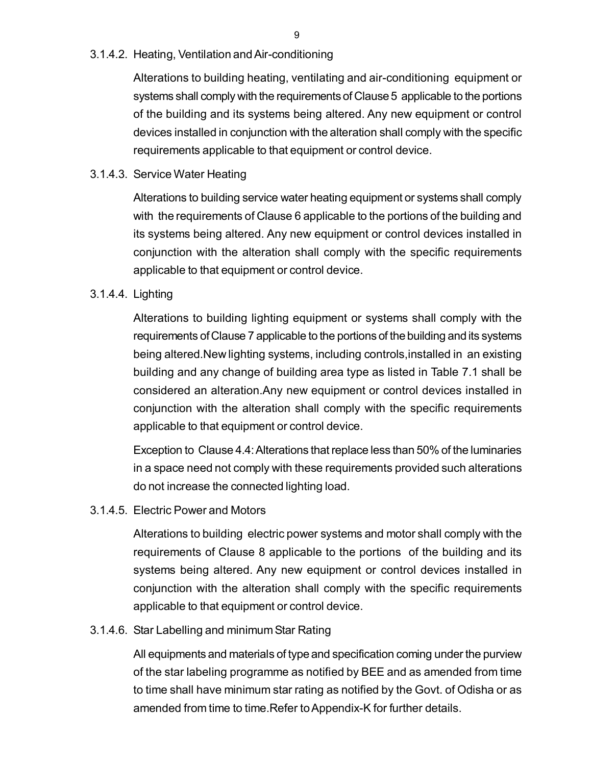#### 3.1.4.2. Heating, Ventilation and Air-conditioning

Alterations to building heating, ventilating and air-conditioning equipment or systems shall comply with the requirements of Clause 5 applicable to the portions of the building and its systems being altered. Any new equipment or control devices installed in conjunction with the alteration shall comply with the specific requirements applicable to that equipment or control device.

## 3.1.4.3. Service Water Heating

Alterations to building service water heating equipment or systems shall comply with the requirements of Clause 6 applicable to the portions of the building and its systems being altered. Any new equipment or control devices installed in conjunction with the alteration shall comply with the specific requirements applicable to that equipment or control device.

#### 3.1.4.4. Lighting

Alterations to building lighting equipment or systems shall comply with the requirements of Clause 7 applicable to the portions of the building and its systems being altered.New lighting systems, including controls,installed in an existing building and any change of building area type as listed in Table 7.1 shall be considered an alteration.Any new equipment or control devices installed in conjunction with the alteration shall comply with the specific requirements applicable to that equipment or control device.

Exception to Clause 4.4: Alterations that replace less than 50% of the luminaries in a space need not comply with these requirements provided such alterations do not increase the connected lighting load.

## 3.1.4.5. Electric Power and Motors

Alterations to building electric power systems and motor shall comply with the requirements of Clause 8 applicable to the portions of the building and its systems being altered. Any new equipment or control devices installed in conjunction with the alteration shall comply with the specific requirements applicable to that equipment or control device.

#### 3.1.4.6. Star Labelling and minimum Star Rating

All equipments and materials of type and specification coming under the purview of the star labeling programme as notified by BEE and as amended from time to time shall have minimum star rating as notified by the Govt. of Odisha or as amended from time to time.Refer to Appendix-K for further details.